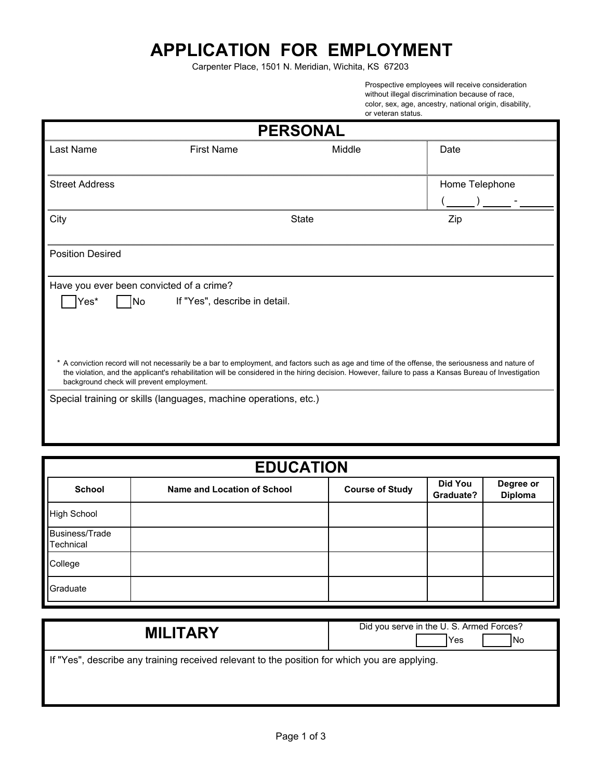## **APPLICATION FOR EMPLOYMENT**

Carpenter Place, 1501 N. Meridian, Wichita, KS 67203

Prospective employees will receive consideration without illegal discrimination because of race, color, sex, age, ancestry, national origin, disability, or veteran status.

| <b>PERSONAL</b>                           |                                                                  |        |                                                                                                                                                                                                                                                                                                             |
|-------------------------------------------|------------------------------------------------------------------|--------|-------------------------------------------------------------------------------------------------------------------------------------------------------------------------------------------------------------------------------------------------------------------------------------------------------------|
| Last Name                                 | <b>First Name</b>                                                | Middle | Date                                                                                                                                                                                                                                                                                                        |
| <b>Street Address</b>                     |                                                                  |        | Home Telephone                                                                                                                                                                                                                                                                                              |
| City                                      |                                                                  | State  | Zip                                                                                                                                                                                                                                                                                                         |
| <b>Position Desired</b>                   |                                                                  |        |                                                                                                                                                                                                                                                                                                             |
| Have you ever been convicted of a crime?  |                                                                  |        |                                                                                                                                                                                                                                                                                                             |
| $\gamma$ es* $\Box$ No                    | If "Yes", describe in detail.                                    |        |                                                                                                                                                                                                                                                                                                             |
| background check will prevent employment. |                                                                  |        | * A conviction record will not necessarily be a bar to employment, and factors such as age and time of the offense, the seriousness and nature of<br>the violation, and the applicant's rehabilitation will be considered in the hiring decision. However, failure to pass a Kansas Bureau of Investigation |
|                                           | Special training or skills (languages, machine operations, etc.) |        |                                                                                                                                                                                                                                                                                                             |

| <b>EDUCATION</b>                   |                             |                        |                      |                             |
|------------------------------------|-----------------------------|------------------------|----------------------|-----------------------------|
| <b>School</b>                      | Name and Location of School | <b>Course of Study</b> | Did You<br>Graduate? | Degree or<br><b>Diploma</b> |
| <b>High School</b>                 |                             |                        |                      |                             |
| <b>Business/Trade</b><br>Technical |                             |                        |                      |                             |
| College                            |                             |                        |                      |                             |
| Graduate                           |                             |                        |                      |                             |

| <b>MILITARY</b>                                                                               | Did you serve in the U.S. Armed Forces?<br><b>INo</b><br>Yes |
|-----------------------------------------------------------------------------------------------|--------------------------------------------------------------|
| If "Yes", describe any training received relevant to the position for which you are applying. |                                                              |
|                                                                                               |                                                              |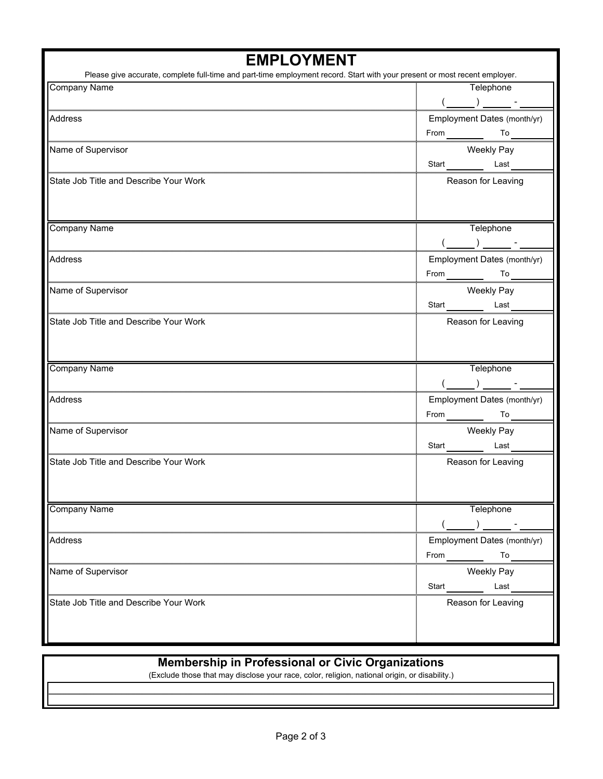| <b>EMPLOYMENT</b>                                                                                                          |                             |  |
|----------------------------------------------------------------------------------------------------------------------------|-----------------------------|--|
| Please give accurate, complete full-time and part-time employment record. Start with your present or most recent employer. |                             |  |
| <b>Company Name</b>                                                                                                        | Telephone                   |  |
|                                                                                                                            |                             |  |
| Address                                                                                                                    | Employment Dates (month/yr) |  |
|                                                                                                                            | From <u>To</u>              |  |
| Name of Supervisor                                                                                                         | Weekly Pay                  |  |
|                                                                                                                            | Start Last                  |  |
| State Job Title and Describe Your Work                                                                                     | Reason for Leaving          |  |
|                                                                                                                            |                             |  |
|                                                                                                                            |                             |  |
|                                                                                                                            |                             |  |
| <b>Company Name</b>                                                                                                        | Telephone                   |  |
|                                                                                                                            |                             |  |
| Address                                                                                                                    | Employment Dates (month/yr) |  |
|                                                                                                                            | From To To                  |  |
| Name of Supervisor                                                                                                         | Weekly Pay                  |  |
|                                                                                                                            | Start Last                  |  |
| State Job Title and Describe Your Work                                                                                     | Reason for Leaving          |  |
|                                                                                                                            |                             |  |
|                                                                                                                            |                             |  |
| <b>Company Name</b>                                                                                                        | Telephone                   |  |
|                                                                                                                            |                             |  |
|                                                                                                                            |                             |  |
| Address                                                                                                                    | Employment Dates (month/yr) |  |
|                                                                                                                            | From To To                  |  |
| Name of Supervisor                                                                                                         | Weekly Pay                  |  |
|                                                                                                                            | Start<br>Last               |  |
| State Job Title and Describe Your Work                                                                                     | Reason for Leaving          |  |
|                                                                                                                            |                             |  |
|                                                                                                                            |                             |  |
| <b>Company Name</b>                                                                                                        | Telephone                   |  |
|                                                                                                                            |                             |  |
|                                                                                                                            |                             |  |
| Address                                                                                                                    | Employment Dates (month/yr) |  |
|                                                                                                                            | From<br>Т٥                  |  |
| Name of Supervisor                                                                                                         | <b>Weekly Pay</b>           |  |
|                                                                                                                            | Start<br>Last               |  |
| State Job Title and Describe Your Work                                                                                     | Reason for Leaving          |  |
|                                                                                                                            |                             |  |
|                                                                                                                            |                             |  |
|                                                                                                                            |                             |  |

## **Membership in Professional or Civic Organizations**

(Exclude those that may disclose your race, color, religion, national origin, or disability.)